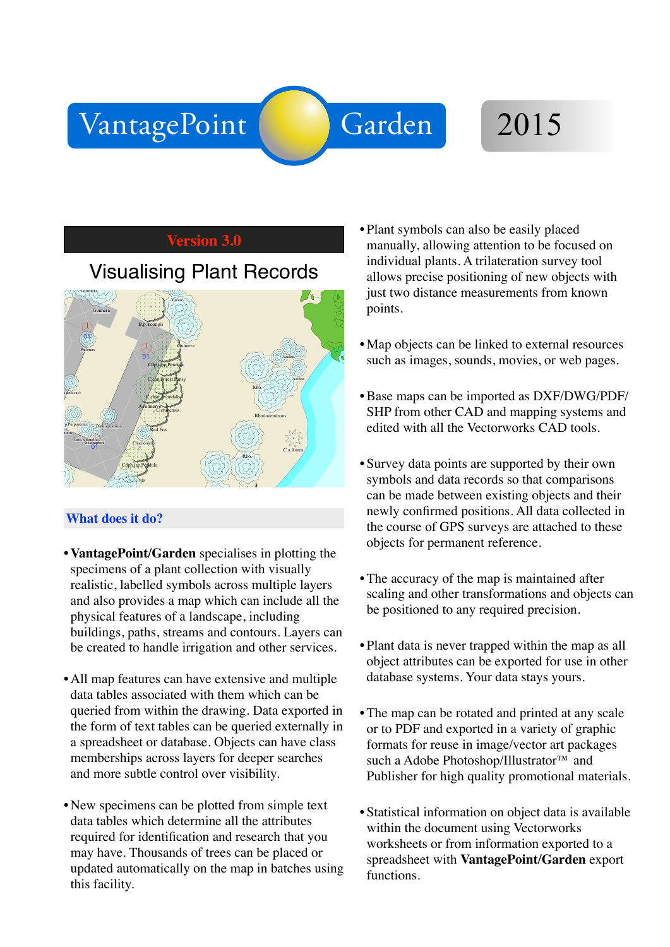# VantagePoint Garden 2015

## **Version 3.0**

# **Visualising Plant Records**



### **What does it do?**

- VantagePoint/Garden specialises in plotting the specimens of a plant collection with visually realistic, labelled symbols across multiple layers and also provides a map which can include all the physical features of a landscape, including buildings, paths, streams and contours. Layers can be created to handle irrigation and other services.
- All map features can have extensive and multiple data tables associated with them which can be queried from within the drawing. Data exported in the form of text tables can be queried externally in a spreadsheet or database. Objects can have class memberships across layers for deeper searches and more subtle control over visibility.
- New specimens can be plotted from simple text data tables which determine all the attributes required for identification and research that you may have. Thousands of trees can be placed or updated automatically on the map in batches using this facility.
- Plant symbols can also be easily placed manually, allowing attention to be focused on individual plants. A trilateration survey tool allows precise positioning of new objects with just two distance measurements from known points.
- Map objects can be linked to external resources such as images, sounds, movies, or web pages.
- Base maps can be imported as DXF/DWG/PDF/ SHP from other CAD and mapping systems and edited with all the Vectorworks CAD tools.
- Survey data points are supported by their own symbols and data records so that comparisons can be made between existing objects and their newly confirmed positions. All data collected in the course of GPS surveys are attached to these objects for permanent reference.
- The accuracy of the map is maintained after scaling and other transformations and objects can be positioned to any required precision.
- Plant data is never trapped within the map as all object attributes can be exported for use in other database systems. Your data stays yours.
- The map can be rotated and printed at any scale or to PDF and exported in a variety of graphic formats for reuse in image/vector art packages such a Adobe Photoshop/Illustrator™ and Publisher for high quality promotional materials.
- Statistical information on object data is available within the document using Vectorworks worksheets or from information exported to a spreadsheet with **VantagePoint/Garden** export functions.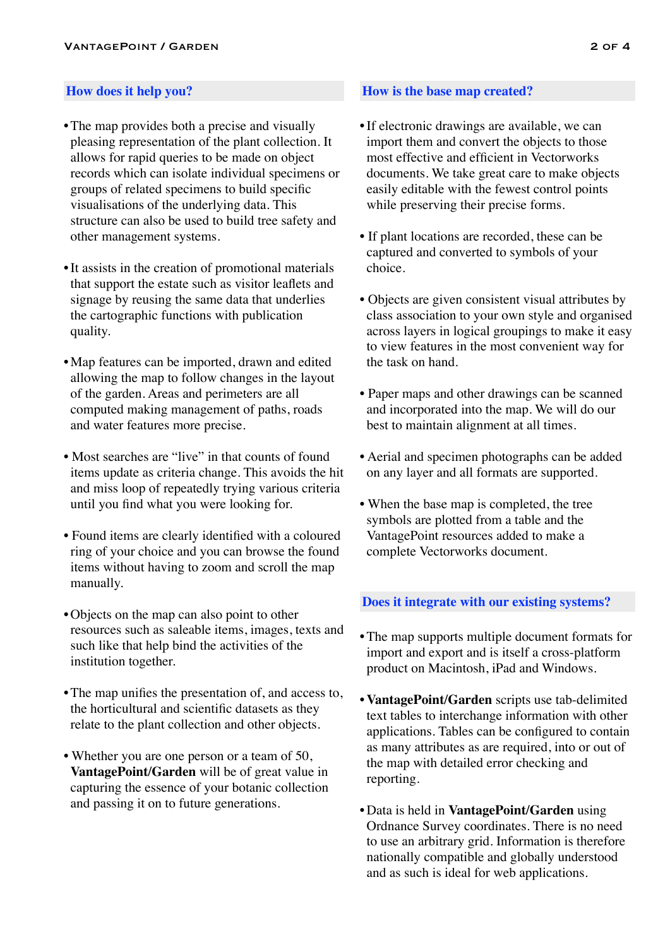- **•**The map provides both a precise and visually pleasing representation of the plant collection. It allows for rapid queries to be made on object records which can isolate individual specimens or groups of related specimens to build specific visualisations of the underlying data. This structure can also be used to build tree safety and other management systems.
- It assists in the creation of promotional materials that support the estate such as visitor leaflets and signage by reusing the same data that underlies the cartographic functions with publication quality.
- Map features can be imported, drawn and edited allowing the map to follow changes in the layout of the garden. Areas and perimeters are all computed making management of paths, roads and water features more precise.
- Most searches are "live" in that counts of found items update as criteria change. This avoids the hit and miss loop of repeatedly trying various criteria until you find what you were looking for.
- Found items are clearly identified with a coloured ring of your choice and you can browse the found items without having to zoom and scroll the map manually.
- Objects on the map can also point to other resources such as saleable items, images, texts and such like that help bind the activities of the institution together.
- The map unifies the presentation of, and access to, the horticultural and scientific datasets as they relate to the plant collection and other objects.
- Whether you are one person or a team of 50, **VantagePoint/Garden** will be of great value in capturing the essence of your botanic collection and passing it on to future generations.

### **How does it help you? How is the base map created?**

- **•**If electronic drawings are available, we can import them and convert the objects to those most effective and efficient in Vectorworks documents. We take great care to make objects easily editable with the fewest control points while preserving their precise forms.
- If plant locations are recorded, these can be captured and converted to symbols of your choice.
- Objects are given consistent visual attributes by class association to your own style and organised across layers in logical groupings to make it easy to view features in the most convenient way for the task on hand.
- Paper maps and other drawings can be scanned and incorporated into the map. We will do our best to maintain alignment at all times.
- Aerial and specimen photographs can be added on any layer and all formats are supported.
- When the base map is completed, the tree symbols are plotted from a table and the VantagePoint resources added to make a complete Vectorworks document.

#### **Does it integrate with our existing systems?**

- **•**The map supports multiple document formats for import and export and is itself a cross-platform product on Macintosh, iPad and Windows.
- **VantagePoint/Garden** scripts use tab-delimited text tables to interchange information with other applications. Tables can be configured to contain as many attributes as are required, into or out of the map with detailed error checking and reporting.
- Data is held in **VantagePoint/Garden** using Ordnance Survey coordinates. There is no need to use an arbitrary grid. Information is therefore nationally compatible and globally understood and as such is ideal for web applications.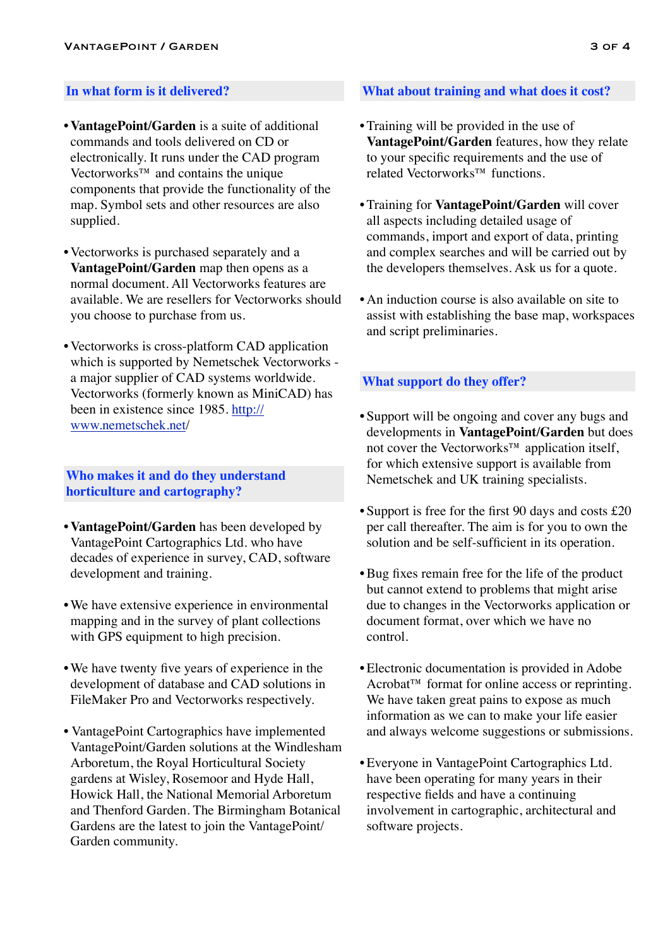- **VantagePoint/Garden** is a suite of additional commands and tools delivered on CD or electronically. It runs under the CAD program Vectorworks™ and contains the unique components that provide the functionality of the map. Symbol sets and other resources are also supplied.
- Vectorworks is purchased separately and a **VantagePoint/Garden** map then opens as a normal document. All Vectorworks features are available. We are resellers for Vectorworks should you choose to purchase from us.
- Vectorworks is cross-platform CAD application which is supported by Nemetschek Vectorworks a major supplier of CAD systems worldwide. Vectorworks (formerly known as MiniCAD) has [been in existence since 1985. http://](http://www.nemetschek.net) www.nemetschek.net/

### **Who makes it and do they understand horticulture and cartography?**

- **VantagePoint/Garden** has been developed by VantagePoint Cartographics Ltd. who have decades of experience in survey, CAD, software development and training.
- We have extensive experience in environmental mapping and in the survey of plant collections with GPS equipment to high precision.
- We have twenty five years of experience in the development of database and CAD solutions in FileMaker Pro and Vectorworks respectively.
- VantagePoint Cartographics have implemented VantagePoint/Garden solutions at the Windlesham Arboretum, the Royal Horticultural Society gardens at Wisley, Rosemoor and Hyde Hall, Howick Hall, the National Memorial Arboretum and Thenford Garden. The Birmingham Botanical Gardens are the latest to join the VantagePoint/ Garden community.

### **What about training and what does it cost?**

- **•**Training will be provided in the use of **VantagePoint/Garden** features, how they relate to your specific requirements and the use of related Vectorworks™ functions.
- Training for **VantagePoint/Garden** will cover all aspects including detailed usage of commands, import and export of data, printing and complex searches and will be carried out by the developers themselves. Ask us for a quote.
- An induction course is also available on site to assist with establishing the base map, workspaces and script preliminaries.

### **What support do they offer?**

- **•** Support will be ongoing and cover any bugs and developments in **VantagePoint/Garden** but does not cover the Vectorworks™ application itself, for which extensive support is available from Nemetschek and UK training specialists.
- Support is free for the first 90 days and costs £20 per call thereafter. The aim is for you to own the solution and be self-sufficient in its operation.
- Bug fixes remain free for the life of the product but cannot extend to problems that might arise due to changes in the Vectorworks application or document format, over which we have no control.
- Electronic documentation is provided in Adobe Acrobat<sup>™</sup> format for online access or reprinting. We have taken great pains to expose as much information as we can to make your life easier and always welcome suggestions or submissions.
- Everyone in VantagePoint Cartographics Ltd. have been operating for many years in their respective fields and have a continuing involvement in cartographic, architectural and software projects.